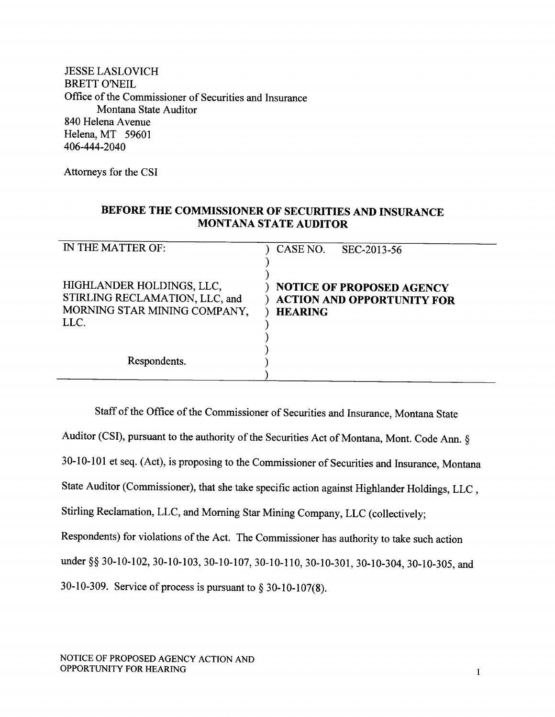JESSE LASLOVICH **BRETT O'NEIL** Office of the Commissioner of Securities and Insurance Montana State Auditor 840 Helena Avenue Helena, MT <sup>59601</sup> 406-444-2040

Attorneys for the CSI

# BEFORE THE COMMISSIONER OF SECURITIES AND INSURANCE MONTANA STATE AUDITOR

| IN THE MATTER OF:                                                                                   | CASE NO.<br>SEC-2013-56                                                                 |
|-----------------------------------------------------------------------------------------------------|-----------------------------------------------------------------------------------------|
| HIGHLANDER HOLDINGS, LLC,<br>STIRLING RECLAMATION, LLC, and<br>MORNING STAR MINING COMPANY,<br>LLC. | <b>NOTICE OF PROPOSED AGENCY</b><br><b>ACTION AND OPPORTUNITY FOR</b><br><b>HEARING</b> |
| Respondents.                                                                                        |                                                                                         |

Staff of the Office of the Commissioner of Securities and Insurance, Montana State Auditor (CSI), pursuant to the authority of the Securities Act of Montana, Mont. Code Ann. § 30-10-l0l et seq. (Act), is proposing to the Commissioner of Securities and Insurance, Montana State Auditor (Commissioner), that she take specific action against Highlander Holdings, LLC , Stirling Reclamation, LLC, and Moming Star Mining Company, LLC (collectively; Respondents) for violations of the Act. The Commissioner has authority to take such action under §§ 30-10-102, 30-10-103, 30-10-107, 30-10-110, 30-10-301, 30-10-304, 30-10-305, and 30-10-309. Service of process is pursuant to  $\S$  30-10-107(8).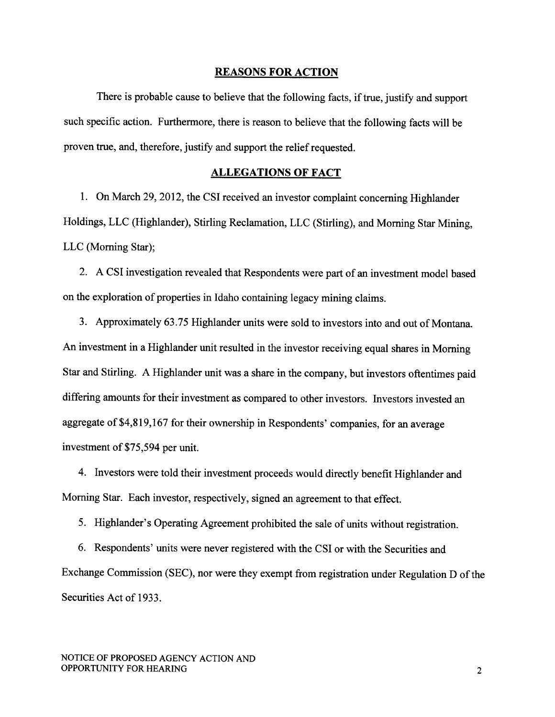#### REASONS FOR ACTION

There is probable cause to believe that the following facts, if true, justify and support such specific action. Furthermore, there is reason to believe that the following facts will be proven true, and, therefore, justify and support the relief requested.

#### ALLEGATIONS OF FACT

1. On March 29,2012, the CSI received an investor complaint concerning Highlander Holdings, LLC (Highlander), Stirling Reclamation, LLC (Stirling), and Moming Star Mining, LLC (Moming Star);

2. A CSI investigation revealed that Respondents were part of an investment model based on the exploration of properties in Idaho containing legacy mining claims.

3. Approximately 63.75 Highlander units were sold to investors into and out of Montana. An investment in a Highlander unit resulted in the investor receiving equal shares in Morning Star and Stirling. A Highlander unit was a share in the company, but investors oftentimes paid differing amounts for their investment as compared to other investors. Investors invested an aggregate of \$4,819,167 for their ownership in Respondents' companies, for an average investment of \$75,594 per unit.

4. Investors were told their investment proceeds would directly benefit Highlander and Morning Star. Each investor, respectively, signed an agreement to that effect.

5. Highlander's Operating Agreement prohibited the sale of units without registration.

6. Respondents' units were never registered with the CSI or with the Securities and Exchange Commission (SEC), nor were they exempt from registration under Regulation D of the Securities Act of 1933.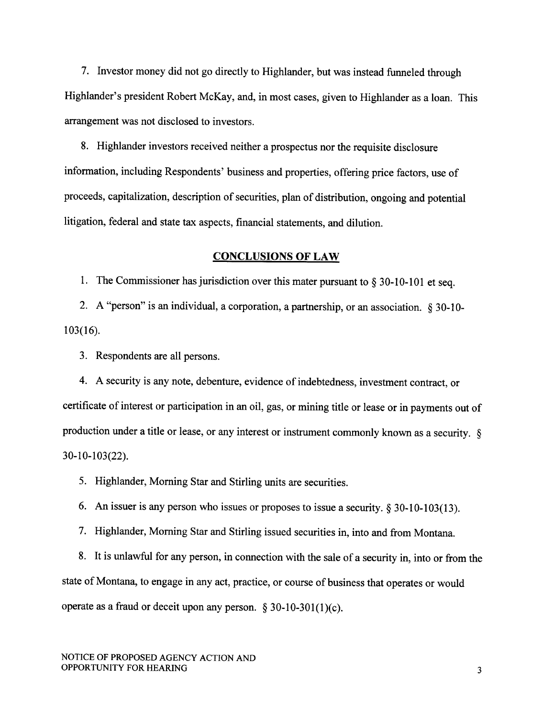7. Investor money did not go directly to Highlander, but was instead funneled through Highlander's president Robert McKay, and, in most cases, given to Highlander as a loan. This arrangement was not disclosed to investors.

8. Highlander investors received neither a prospectus nor the requisite disclosure information, including Respondents' business and properties, offering price factors, use of proceeds, capitalization, description of securities, plan of distribution, ongoing and potential litigation, federal and state tax aspects, financial statements, and dilution.

#### CONCLUSIONS OF LAW

1. The Commissioner has jurisdiction over this mater pursuant to  $\S 30$ -10-101 et seq.

2. A "person" is an individual, a corporation, a partnership, or an association. § 30-10-103(16).

3. Respondents are all persons.

4. A security is any note, debenture, evidence of indebtedness, investment contract, or certificate of interest or participation in an oil, gas, or mining title or lease or in payments out of production under a title or lease, or any interest or instrument commonly known as a security. \$ 30-10-103(22).

5. Highlander, Morning Star and Stirling units are securities.

6. An issuer is any person who issues or proposes to issue a security.  $\S 30-10-103(13)$ .

7. Highlander, Moming Star and Stirling issued securities in, into and from Montana.

8. It is unlawful for any person, in connection with the sale of a security in, into or from the state of Montana, to engage in any act, practice, or course of business that operates or would operate as a fraud or deceit upon any person.  $\S 30-10-301(1)(c)$ .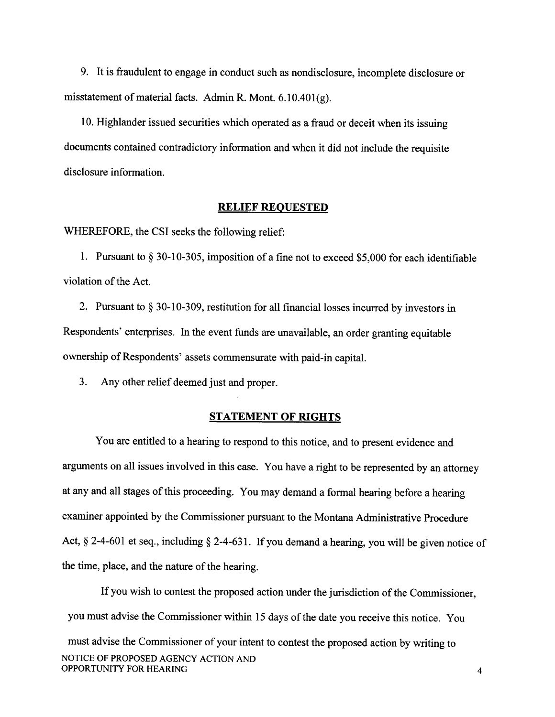9. It is fraudulent to engage in conduct such as nondisclosure, incomplete disclosure or misstatement of material facts. Admin R. Mont.  $6.10.401(g)$ .

10. Highlander issued securities which operated as a fraud or deceit when its issuing documents contained contradictory information and when it did not include the requisite disclosure information.

#### RELIEF REOUESTED

WHEREFORE, the CSI seeks the following relief:

1. Pursuant to \$ 30-10-305, imposition of a fine not to exceed \$5,000 for each identifiable violation of the Act.

2. Pursuant to \$ 30-10-309, restitution for all financial losses incurred by investors in Respondents' enterprises. In the event funds are unavailable, an order granting equitable ownership of Respondents' assets commensurate with paid-in capital.

3. Any other relief deemed just and proper.

#### STATEMENT OF RIGHTS

You are entitled to a hearing to respond to this notice, and to present evidence and arguments on all issues involved in this case. You have a right to be represented by an attorney at any and all stages of this proceeding. You may demand a formal hearing before a hearing examiner appointed by the Commissioner pursuant to the Montana Administrative Procedure Act,  $\S$  2-4-601 et seq., including  $\S$  2-4-631. If you demand a hearing, you will be given notice of the time, place, and the nature of the hearing.

If you wish to contest the proposed action under the jurisdiction of the Commissioner, you must advise the Commissioner within l5 days of the date you receive this notice. You must advise the Commissioner of your intent to contest the proposed action by writing to NOTICE OF PROPOSED AGENCY ACTION AND OPPORTUNITY FOR HEARING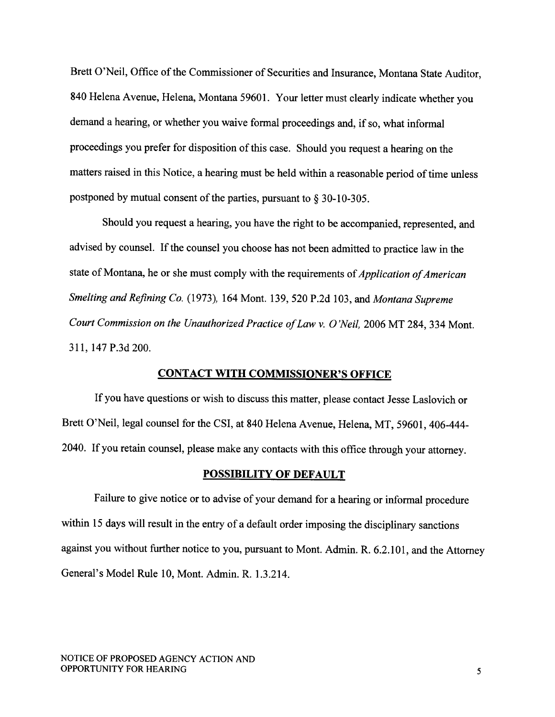Brett O'Neil, Office of the Commissioner of Securities and Insurance, Montana State Auditor, 840 Helena Avenue, Helena, Montana 59601. Your letter must clearly indicate whether you demand a hearing, or whether you waive formal proceedings and, if so, what informal proceedings you prefer for disposition of this case. Should you request a hearing on the matters raised in this Notice, a hearing must be held within a reasonable period of time unless postponed by mutual consent of the parties, pursuant to \$ 30-10-305.

Should you request a hearing, you have the right to be accompanied, represented, and advised by counsel. If the counsel you choose has not been admitted to practice law in the state of Montana, he or she must comply with the requirements of *Application of American* Smelting and Refining Co. (1973), 164 Mont. 139, 520 P.2d 103, and Montana Supreme Court Commission on the Unauthorized Practice of Law v. O'Neil, 2006 MT 284, 334 Mont. 311, 147 P.3d 200.

## CONTACT WITH COMMISSIONER'S OFFICE

If you have questions or wish to discuss this matter, please contact Jesse Laslovich or Brett O'Neil, legal counsel for the CSI, at 840 Helena Avenue, Helena, MT, 59601, 406-444-2040. If you retain counsel, please make any contacts with this office through your attorney.

### POSSIBILITY OF DEFAULT

Failure to give notice or to advise of your demand for a hearing or informal procedure within 15 days will result in the entry of a default order imposing the disciplinary sanctions against you without further notice to you, pursuant to Mont. Admin. R. 6.2.101, and the Attorney General's Model Rule 10, Mont. Admin. R.1.3.214.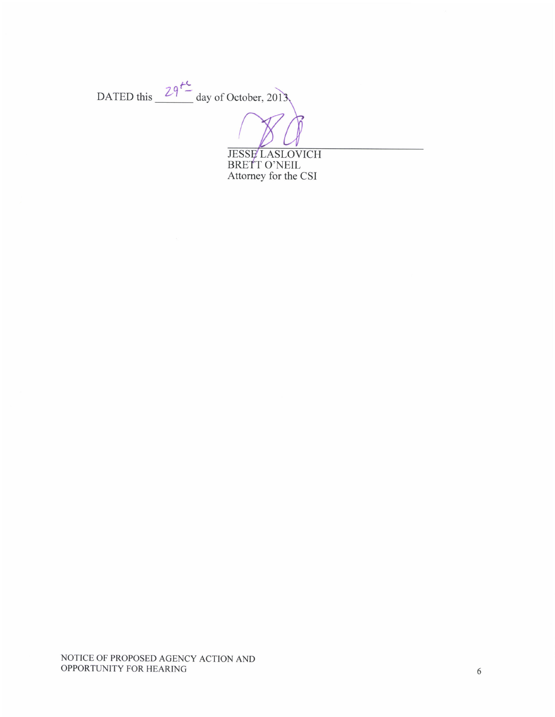DATED this  $29^{14}$  day of October, 2013 **JESSE LASLOVICH<br>BRETT O'NEIL** Attorney for the CSI